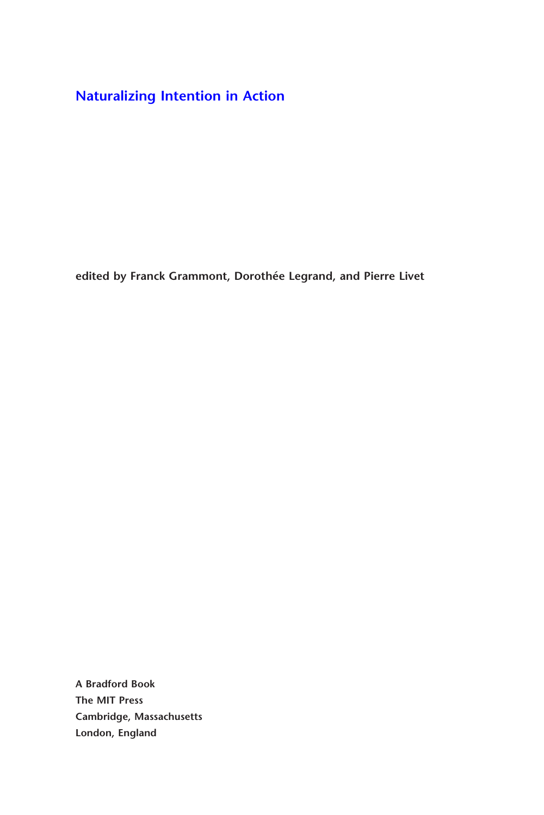**[Naturalizing Intention in Action](http://mitpress.mit.edu/catalog/item/default.asp?ttype=2&tid=12129)**

**edited by Franck Grammont, Dorothée Legrand, and Pierre Livet**

**A Bradford Book The MIT Press Cambridge, Massachusetts London, England**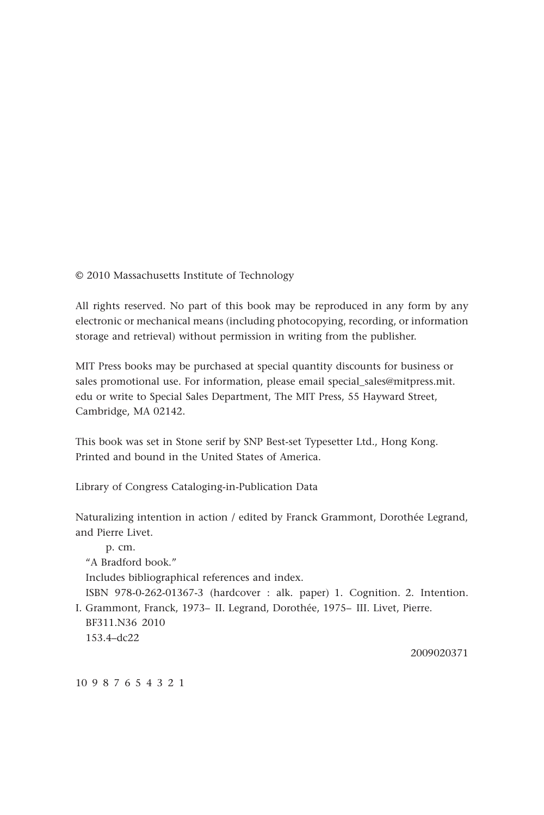© 2010 Massachusetts Institute of Technology

All rights reserved. No part of this book may be reproduced in any form by any electronic or mechanical means (including photocopying, recording, or information storage and retrieval) without permission in writing from the publisher.

MIT Press books may be purchased at special quantity discounts for business or sales promotional use. For information, please email special\_sales@mitpress.mit. edu or write to Special Sales Department, The MIT Press, 55 Hayward Street, Cambridge, MA 02142.

This book was set in Stone serif by SNP Best-set Typesetter Ltd., Hong Kong. Printed and bound in the United States of America.

Library of Congress Cataloging-in-Publication Data

Naturalizing intention in action / edited by Franck Grammont, Dorothée Legrand, and Pierre Livet.

 p. cm. "A Bradford book." Includes bibliographical references and index. ISBN 978-0-262-01367-3 (hardcover : alk. paper) 1. Cognition. 2. Intention. I. Grammont, Franck, 1973– II. Legrand, Dorothée, 1975– III. Livet, Pierre. BF311.N36 2010 153.4–dc22

2009020371

10 9 8 7 6 5 4 3 2 1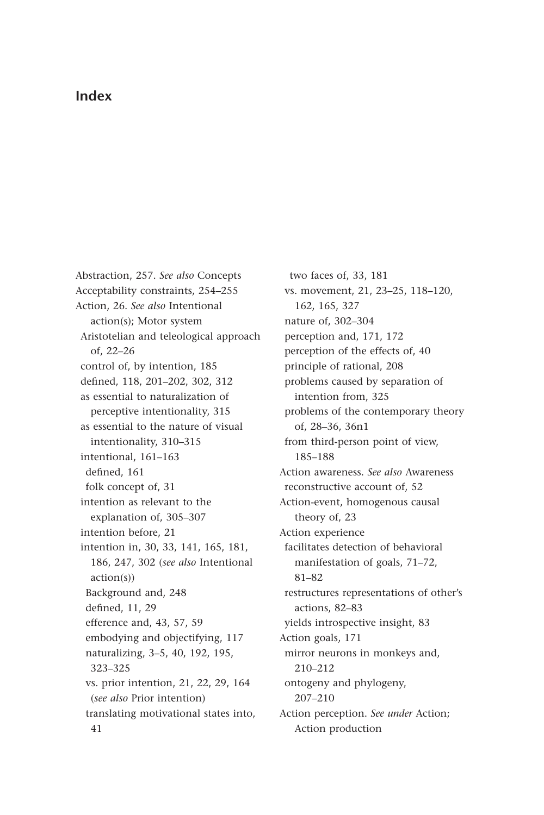## **Index**

Abstraction, 257. *See also* Concepts Acceptability constraints, 254–255 Action, 26. *See also* Intentional action(s); Motor system Aristotelian and teleological approach of, 22–26 control of, by intention, 185 defined, 118, 201-202, 302, 312 as essential to naturalization of perceptive intentionality, 315 as essential to the nature of visual intentionality, 310–315 intentional, 161–163 defined, 161 folk concept of, 31 intention as relevant to the explanation of, 305–307 intention before, 21 intention in, 30, 33, 141, 165, 181, 186, 247, 302 (*see also* Intentional action(s)) Background and, 248 defined, 11, 29 efference and, 43, 57, 59 embodying and objectifying, 117 naturalizing, 3–5, 40, 192, 195, 323–325 vs. prior intention, 21, 22, 29, 164 (*see also* Prior intention) translating motivational states into, 41

two faces of, 33, 181 vs. movement, 21, 23–25, 118–120, 162, 165, 327 nature of, 302–304 perception and, 171, 172 perception of the effects of, 40 principle of rational, 208 problems caused by separation of intention from, 325 problems of the contemporary theory of, 28–36, 36n1 from third-person point of view, 185–188 Action awareness. *See also* Awareness reconstructive account of, 52 Action-event, homogenous causal theory of, 23 Action experience facilitates detection of behavioral manifestation of goals, 71–72, 81–82 restructures representations of other's actions, 82–83 yields introspective insight, 83 Action goals, 171 mirror neurons in monkeys and, 210–212 ontogeny and phylogeny, 207–210 Action perception. *See under* Action; Action production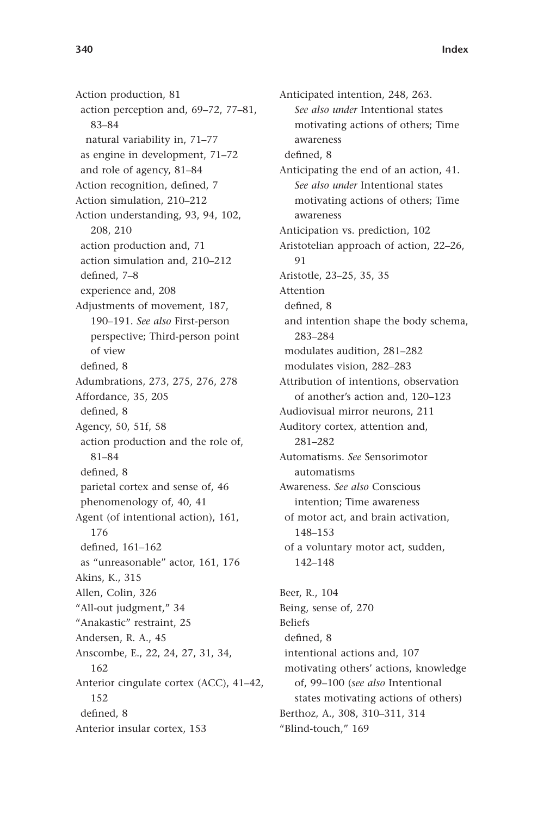Action production, 81 action perception and, 69–72, 77–81, 83–84 natural variability in, 71–77 as engine in development, 71–72 and role of agency, 81–84 Action recognition, defined, 7 Action simulation, 210–212 Action understanding, 93, 94, 102, 208, 210 action production and, 71 action simulation and, 210–212 defined, 7-8 experience and, 208 Adjustments of movement, 187, 190–191. *See also* First-person perspective; Third-person point of view defined, 8 Adumbrations, 273, 275, 276, 278 Affordance, 35, 205 defined, 8 Agency, 50, 51f, 58 action production and the role of, 81–84 defined. 8 parietal cortex and sense of, 46 phenomenology of, 40, 41 Agent (of intentional action), 161, 176 defined, 161-162 as "unreasonable" actor, 161, 176 Akins, K., 315 Allen, Colin, 326 "All-out judgment," 34 "Anakastic" restraint, 25 Andersen, R. A., 45 Anscombe, E., 22, 24, 27, 31, 34, 162 Anterior cingulate cortex (ACC), 41–42, 152 defined, 8 Anterior insular cortex, 153

Anticipated intention, 248, 263. *See also under* Intentional states motivating actions of others; Time awareness defined. 8 Anticipating the end of an action, 41. *See also under* Intentional states motivating actions of others; Time awareness Anticipation vs. prediction, 102 Aristotelian approach of action, 22–26, 91 Aristotle, 23–25, 35, 35 Attention defined, 8 and intention shape the body schema, 283–284 modulates audition, 281–282 modulates vision, 282–283 Attribution of intentions, observation of another's action and, 120–123 Audiovisual mirror neurons, 211 Auditory cortex, attention and, 281–282 Automatisms. *See* Sensorimotor automatisms Awareness. *See also* Conscious intention; Time awareness of motor act, and brain activation, 148–153 of a voluntary motor act, sudden, 142–148 Beer, R., 104 Being, sense of, 270 Beliefs defined, 8 intentional actions and, 107 motivating others' actions, knowledge of, 99–100 (*see also* Intentional states motivating actions of others)

Berthoz, A., 308, 310–311, 314 "Blind-touch," 169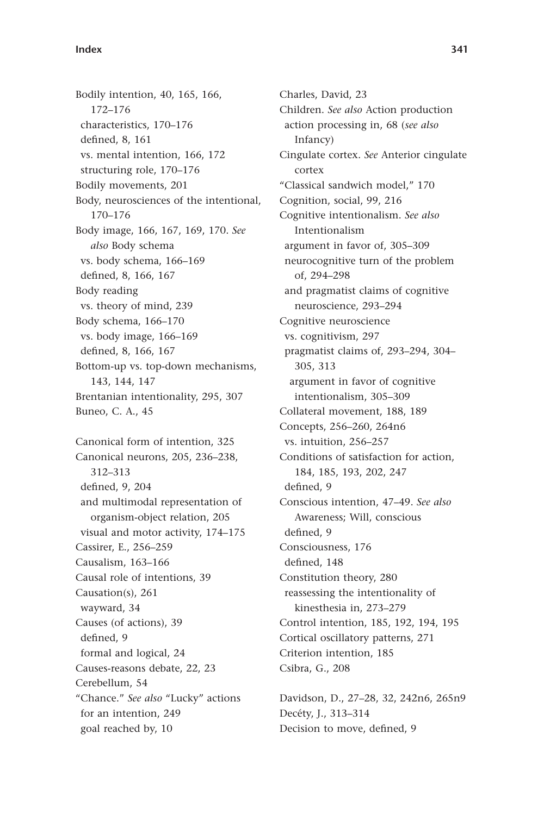Bodily intention, 40, 165, 166, 172–176 characteristics, 170–176 defined, 8, 161 vs. mental intention, 166, 172 structuring role, 170–176 Bodily movements, 201 Body, neurosciences of the intentional, 170–176 Body image, 166, 167, 169, 170. *See also* Body schema vs. body schema, 166–169 defined, 8, 166, 167 Body reading vs. theory of mind, 239 Body schema, 166–170 vs. body image, 166–169 defined, 8, 166, 167 Bottom-up vs. top-down mechanisms, 143, 144, 147 Brentanian intentionality, 295, 307 Buneo, C. A., 45 Canonical form of intention, 325 Canonical neurons, 205, 236–238, 312–313 defined, 9, 204

and multimodal representation of organism-object relation, 205 visual and motor activity, 174–175 Cassirer, E., 256–259 Causalism, 163–166 Causal role of intentions, 39 Causation(s), 261 wayward, 34 Causes (of actions), 39 defined, 9 formal and logical, 24 Causes-reasons debate, 22, 23 Cerebellum, 54 "Chance." *See also* "Lucky" actions for an intention, 249 goal reached by, 10

Charles, David, 23 Children. *See also* Action production action processing in, 68 (*see also* Infancy) Cingulate cortex. *See* Anterior cingulate cortex "Classical sandwich model," 170 Cognition, social, 99, 216 Cognitive intentionalism. *See also* Intentionalism argument in favor of, 305–309 neurocognitive turn of the problem of, 294–298 and pragmatist claims of cognitive neuroscience, 293–294 Cognitive neuroscience vs. cognitivism, 297 pragmatist claims of, 293–294, 304– 305, 313 argument in favor of cognitive intentionalism, 305–309 Collateral movement, 188, 189 Concepts, 256–260, 264n6 vs. intuition, 256–257 Conditions of satisfaction for action, 184, 185, 193, 202, 247 defined, 9 Conscious intention, 47–49. *See also* Awareness; Will, conscious defined. 9 Consciousness, 176 defined, 148 Constitution theory, 280 reassessing the intentionality of kinesthesia in, 273–279 Control intention, 185, 192, 194, 195 Cortical oscillatory patterns, 271 Criterion intention, 185 Csibra, G., 208

Davidson, D., 27–28, 32, 242n6, 265n9 Decéty, J., 313–314 Decision to move, defined, 9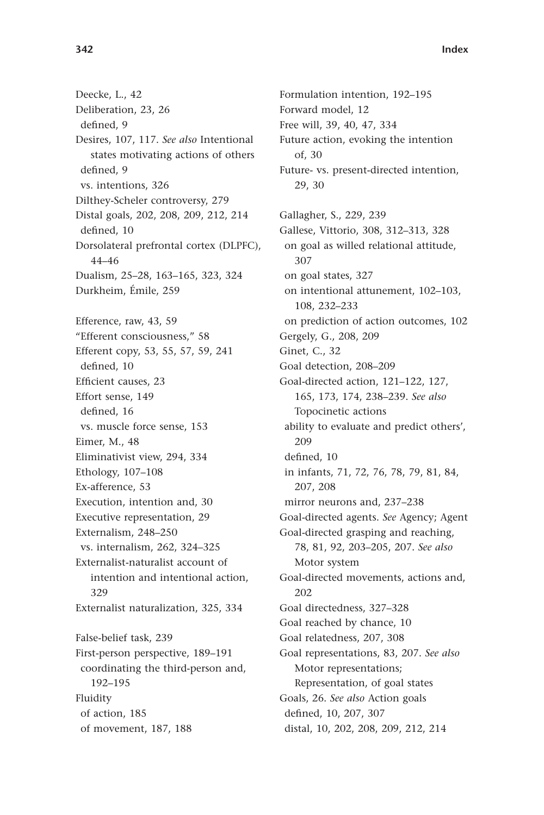Deecke, L., 42 Deliberation, 23, 26 defined. 9 Desires, 107, 117. *See also* Intentional states motivating actions of others defined, 9 vs. intentions, 326 Dilthey-Scheler controversy, 279 Distal goals, 202, 208, 209, 212, 214 defined, 10 Dorsolateral prefrontal cortex (DLPFC), 44–46 Dualism, 25–28, 163–165, 323, 324 Durkheim, Émile, 259 Efference, raw, 43, 59 "Efferent consciousness," 58 Efferent copy, 53, 55, 57, 59, 241 defined, 10 Efficient causes. 23 Effort sense, 149 defined, 16 vs. muscle force sense, 153 Eimer, M., 48 Eliminativist view, 294, 334 Ethology, 107–108 Ex-afference, 53 Execution, intention and, 30 Executive representation, 29 Externalism, 248–250 vs. internalism, 262, 324–325 Externalist-naturalist account of intention and intentional action, 329 Externalist naturalization, 325, 334 False-belief task, 239 First-person perspective, 189–191 coordinating the third-person and, 192–195 Fluidity of action, 185

of movement, 187, 188

Formulation intention, 192–195 Forward model, 12 Free will, 39, 40, 47, 334 Future action, evoking the intention of, 30 Future- vs. present-directed intention, 29, 30 Gallagher, S., 229, 239 Gallese, Vittorio, 308, 312–313, 328 on goal as willed relational attitude, 307 on goal states, 327 on intentional attunement, 102–103, 108, 232–233 on prediction of action outcomes, 102 Gergely, G., 208, 209 Ginet, C., 32 Goal detection, 208–209 Goal-directed action, 121–122, 127, 165, 173, 174, 238–239. *See also* Topocinetic actions ability to evaluate and predict others', 209 defined. 10 in infants, 71, 72, 76, 78, 79, 81, 84, 207, 208 mirror neurons and, 237–238 Goal-directed agents. *See* Agency; Agent Goal-directed grasping and reaching, 78, 81, 92, 203–205, 207. *See also* Motor system Goal-directed movements, actions and, 202 Goal directedness, 327–328 Goal reached by chance, 10 Goal relatedness, 207, 308 Goal representations, 83, 207. *See also* Motor representations; Representation, of goal states Goals, 26. *See also* Action goals defined, 10, 207, 307 distal, 10, 202, 208, 209, 212, 214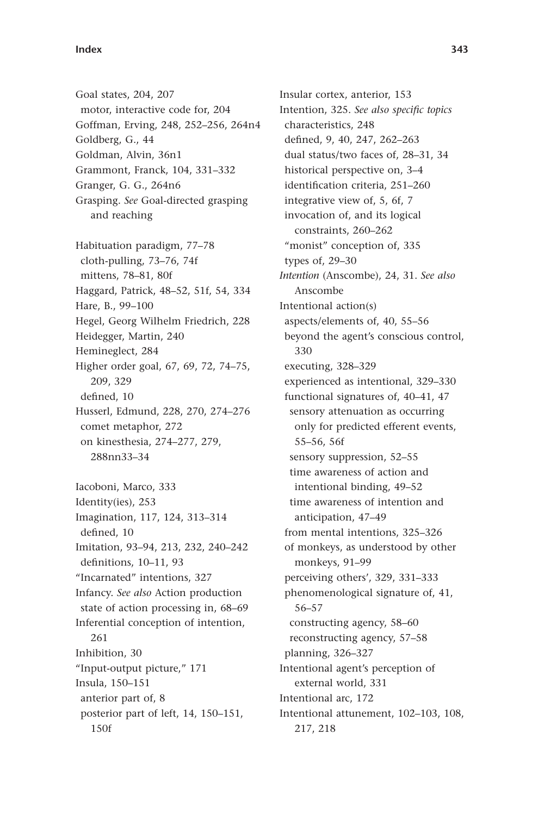Goal states, 204, 207 motor, interactive code for, 204 Goffman, Erving, 248, 252–256, 264n4 Goldberg, G., 44 Goldman, Alvin, 36n1 Grammont, Franck, 104, 331–332 Granger, G. G., 264n6 Grasping. *See* Goal-directed grasping and reaching Habituation paradigm, 77–78 cloth-pulling, 73–76, 74f mittens, 78–81, 80f Haggard, Patrick, 48–52, 51f, 54, 334 Hare, B., 99–100 Hegel, Georg Wilhelm Friedrich, 228 Heidegger, Martin, 240 Hemineglect, 284 Higher order goal, 67, 69, 72, 74–75, 209, 329 defined, 10 Husserl, Edmund, 228, 270, 274–276 comet metaphor, 272 on kinesthesia, 274–277, 279, 288nn33–34 Iacoboni, Marco, 333 Identity(ies), 253 Imagination, 117, 124, 313–314 defined. 10 Imitation, 93–94, 213, 232, 240–242 definitions, 10-11, 93 "Incarnated" intentions, 327 Infancy. *See also* Action production state of action processing in, 68–69 Inferential conception of intention, 261 Inhibition, 30 "Input-output picture," 171 Insula, 150–151 anterior part of, 8 posterior part of left, 14, 150–151, 150f

Insular cortex, anterior, 153 Intention, 325. See also specific topics characteristics, 248 defined, 9, 40, 247, 262-263 dual status/two faces of, 28–31, 34 historical perspective on, 3–4 identification criteria, 251-260 integrative view of, 5, 6f, 7 invocation of, and its logical constraints, 260–262 "monist" conception of, 335 types of, 29–30 *Intention* (Anscombe), 24, 31. *See also* Anscombe Intentional action(s) aspects/elements of, 40, 55–56 beyond the agent's conscious control, 330 executing, 328–329 experienced as intentional, 329–330 functional signatures of, 40–41, 47 sensory attenuation as occurring only for predicted efferent events, 55–56, 56f sensory suppression, 52–55 time awareness of action and intentional binding, 49–52 time awareness of intention and anticipation, 47–49 from mental intentions, 325–326 of monkeys, as understood by other monkeys, 91–99 perceiving others', 329, 331–333 phenomenological signature of, 41, 56–57 constructing agency, 58–60 reconstructing agency, 57–58 planning, 326–327 Intentional agent's perception of external world, 331 Intentional arc, 172 Intentional attunement, 102–103, 108, 217, 218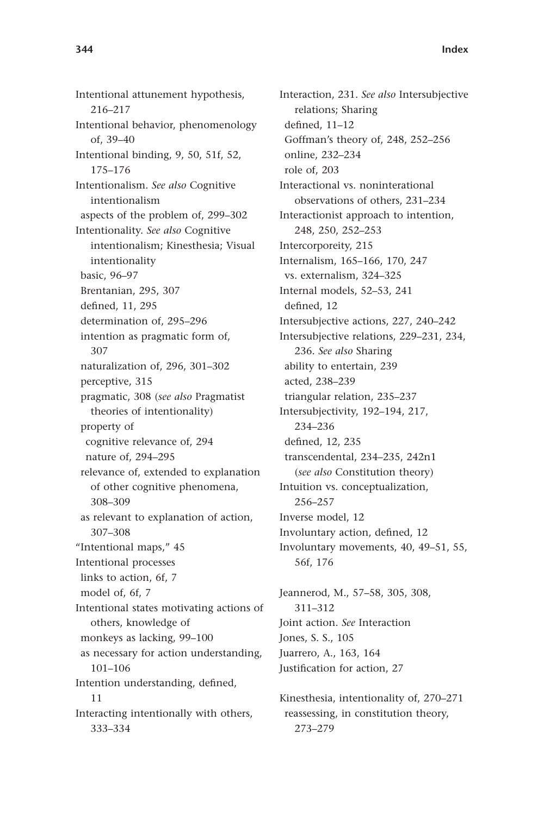Intentional attunement hypothesis, 216–217 Intentional behavior, phenomenology of, 39–40 Intentional binding, 9, 50, 51f, 52, 175–176 Intentionalism. *See also* Cognitive intentionalism aspects of the problem of, 299–302 Intentionality. *See also* Cognitive intentionalism; Kinesthesia; Visual intentionality basic, 96–97 Brentanian, 295, 307 defined, 11, 295 determination of, 295–296 intention as pragmatic form of, 307 naturalization of, 296, 301–302 perceptive, 315 pragmatic, 308 (*see also* Pragmatist theories of intentionality) property of cognitive relevance of, 294 nature of, 294–295 relevance of, extended to explanation of other cognitive phenomena, 308–309 as relevant to explanation of action, 307–308 "Intentional maps," 45 Intentional processes links to action, 6f, 7 model of, 6f, 7 Intentional states motivating actions of others, knowledge of monkeys as lacking, 99–100 as necessary for action understanding, 101–106 Intention understanding, defined, 11 Interacting intentionally with others, 333–334

Interaction, 231. *See also* Intersubjective relations; Sharing defined,  $11-12$ Goffman's theory of, 248, 252–256 online, 232–234 role of, 203 Interactional vs. noninterational observations of others, 231–234 Interactionist approach to intention, 248, 250, 252–253 Intercorporeity, 215 Internalism, 165–166, 170, 247 vs. externalism, 324–325 Internal models, 52–53, 241 defined, 12 Intersubjective actions, 227, 240–242 Intersubjective relations, 229–231, 234, 236. *See also* Sharing ability to entertain, 239 acted, 238–239 triangular relation, 235–237 Intersubjectivity, 192–194, 217, 234–236 defined, 12, 235 transcendental, 234–235, 242n1 (*see also* Constitution theory) Intuition vs. conceptualization, 256–257 Inverse model, 12 Involuntary action, defined, 12 Involuntary movements, 40, 49–51, 55, 56f, 176 Jeannerod, M., 57–58, 305, 308,

311–312 Joint action. *See* Interaction Jones, S. S., 105 Juarrero, A., 163, 164 Justification for action, 27

Kinesthesia, intentionality of, 270–271 reassessing, in constitution theory, 273–279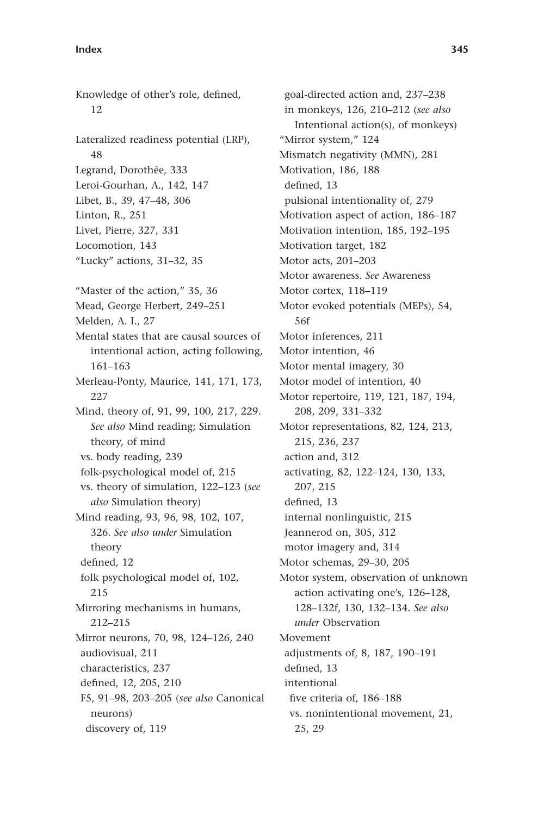Knowledge of other's role, defined, 12 Lateralized readiness potential (LRP), 48 Legrand, Dorothée, 333 Leroi-Gourhan, A., 142, 147 Libet, B., 39, 47–48, 306 Linton, R., 251 Livet, Pierre, 327, 331 Locomotion, 143 "Lucky" actions, 31–32, 35 "Master of the action," 35, 36 Mead, George Herbert, 249–251 Melden, A. I., 27 Mental states that are causal sources of intentional action, acting following, 161–163 Merleau-Ponty, Maurice, 141, 171, 173, 227 Mind, theory of, 91, 99, 100, 217, 229. *See also* Mind reading; Simulation theory, of mind vs. body reading, 239 folk-psychological model of, 215 vs. theory of simulation, 122–123 (*see also* Simulation theory) Mind reading, 93, 96, 98, 102, 107, 326. *See also under* Simulation theory defined, 12 folk psychological model of, 102, 215 Mirroring mechanisms in humans, 212–215 Mirror neurons, 70, 98, 124–126, 240 audiovisual, 211 characteristics, 237 defined, 12, 205, 210 F5, 91–98, 203–205 (*see also* Canonical neurons) discovery of, 119

goal-directed action and, 237–238 in monkeys, 126, 210–212 (*see also* Intentional action(s), of monkeys) "Mirror system," 124 Mismatch negativity (MMN), 281 Motivation, 186, 188 defined, 13 pulsional intentionality of, 279 Motivation aspect of action, 186–187 Motivation intention, 185, 192–195 Motivation target, 182 Motor acts, 201–203 Motor awareness. *See* Awareness Motor cortex, 118–119 Motor evoked potentials (MEPs), 54, 56f Motor inferences, 211 Motor intention, 46 Motor mental imagery, 30 Motor model of intention, 40 Motor repertoire, 119, 121, 187, 194, 208, 209, 331–332 Motor representations, 82, 124, 213, 215, 236, 237 action and, 312 activating, 82, 122–124, 130, 133, 207, 215 defined, 13 internal nonlinguistic, 215 Jeannerod on, 305, 312 motor imagery and, 314 Motor schemas, 29–30, 205 Motor system, observation of unknown action activating one's, 126–128, 128–132f, 130, 132–134. *See also under* Observation Movement adjustments of, 8, 187, 190–191 defined, 13 intentional five criteria of, 186-188 vs. nonintentional movement, 21, 25, 29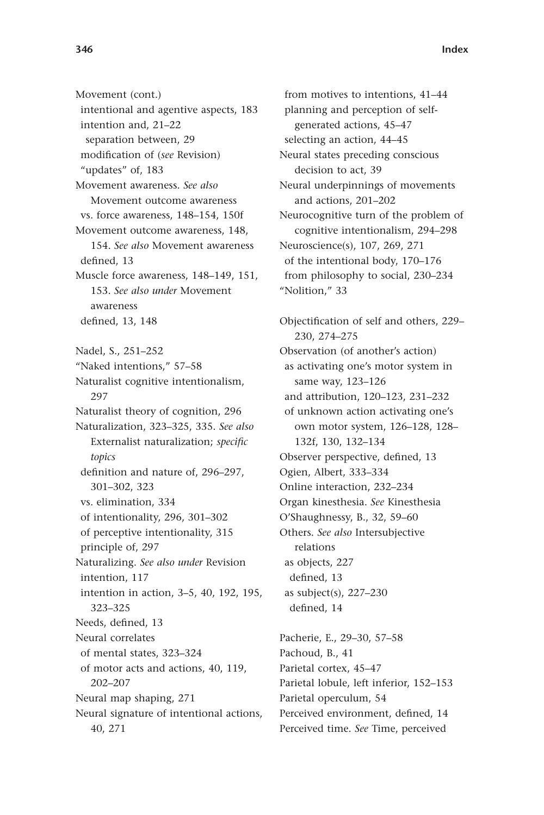Movement (cont.) intentional and agentive aspects, 183 intention and, 21–22 separation between, 29 modification of (see Revision) "updates" of, 183 Movement awareness. *See also* Movement outcome awareness vs. force awareness, 148–154, 150f Movement outcome awareness, 148, 154. *See also* Movement awareness defined, 13 Muscle force awareness, 148–149, 151, 153. *See also under* Movement awareness defined, 13, 148 Nadel, S., 251–252 "Naked intentions," 57–58 Naturalist cognitive intentionalism, 297 Naturalist theory of cognition, 296 Naturalization, 323–325, 335. *See also* Externalist naturalization; specific *topics* definition and nature of, 296-297, 301–302, 323 vs. elimination, 334 of intentionality, 296, 301–302 of perceptive intentionality, 315 principle of, 297 Naturalizing. *See also under* Revision intention, 117 intention in action, 3–5, 40, 192, 195, 323–325 Needs, defined, 13 Neural correlates of mental states, 323–324 of motor acts and actions, 40, 119, 202–207 Neural map shaping, 271 Neural signature of intentional actions, 40, 271

from motives to intentions, 41–44 planning and perception of selfgenerated actions, 45–47 selecting an action, 44–45 Neural states preceding conscious decision to act, 39 Neural underpinnings of movements and actions, 201–202 Neurocognitive turn of the problem of cognitive intentionalism, 294–298 Neuroscience(s), 107, 269, 271 of the intentional body, 170–176 from philosophy to social, 230–234 "Nolition," 33

Objectification of self and others, 229-230, 274–275 Observation (of another's action) as activating one's motor system in same way, 123–126 and attribution, 120–123, 231–232 of unknown action activating one's own motor system, 126–128, 128– 132f, 130, 132–134 Observer perspective, defined, 13 Ogien, Albert, 333–334 Online interaction, 232–234 Organ kinesthesia. *See* Kinesthesia O'Shaughnessy, B., 32, 59–60 Others. *See also* Intersubjective relations as objects, 227 defined, 13 as subject(s), 227–230 defined, 14

Pacherie, E., 29–30, 57–58 Pachoud, B., 41 Parietal cortex, 45–47 Parietal lobule, left inferior, 152–153 Parietal operculum, 54 Perceived environment, defined, 14 Perceived time. *See* Time, perceived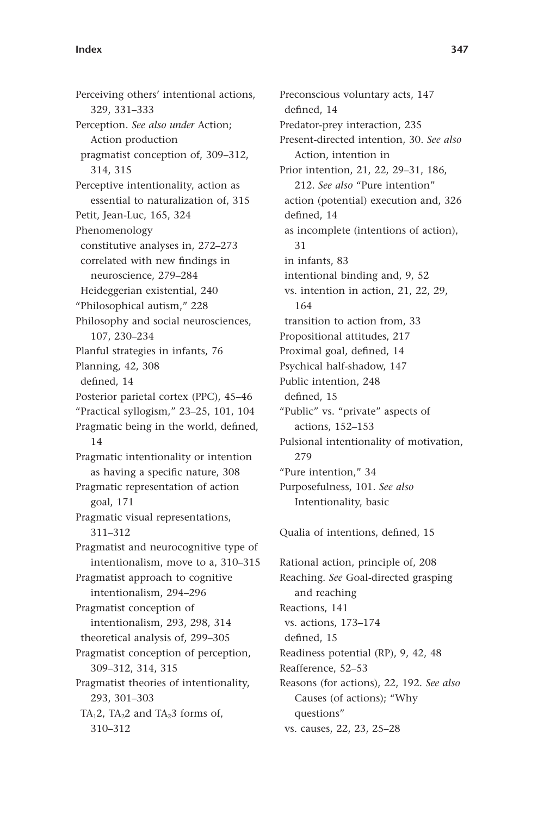Perceiving others' intentional actions, 329, 331–333 Perception. *See also under* Action; Action production pragmatist conception of, 309–312, 314, 315 Perceptive intentionality, action as essential to naturalization of, 315 Petit, Jean-Luc, 165, 324 Phenomenology constitutive analyses in, 272–273 correlated with new findings in neuroscience, 279–284 Heideggerian existential, 240 "Philosophical autism," 228 Philosophy and social neurosciences, 107, 230–234 Planful strategies in infants, 76 Planning, 42, 308 defined, 14 Posterior parietal cortex (PPC), 45–46 "Practical syllogism," 23–25, 101, 104 Pragmatic being in the world, defined, 14 Pragmatic intentionality or intention as having a specific nature, 308 Pragmatic representation of action goal, 171 Pragmatic visual representations, 311–312 Pragmatist and neurocognitive type of intentionalism, move to a, 310–315 Pragmatist approach to cognitive intentionalism, 294–296 Pragmatist conception of intentionalism, 293, 298, 314 theoretical analysis of, 299–305 Pragmatist conception of perception, 309–312, 314, 315 Pragmatist theories of intentionality, 293, 301–303 TA<sub>1</sub>2, TA<sub>2</sub>2 and TA<sub>2</sub>3 forms of, 310–312

Preconscious voluntary acts, 147 defined, 14 Predator-prey interaction, 235 Present-directed intention, 30. *See also* Action, intention in Prior intention, 21, 22, 29–31, 186, 212. *See also* "Pure intention" action (potential) execution and, 326 defined, 14 as incomplete (intentions of action), 31 in infants, 83 intentional binding and, 9, 52 vs. intention in action, 21, 22, 29, 164 transition to action from, 33 Propositional attitudes, 217 Proximal goal, defined, 14 Psychical half-shadow, 147 Public intention, 248 defined, 15 "Public" vs. "private" aspects of actions, 152–153 Pulsional intentionality of motivation, 279 "Pure intention," 34 Purposefulness, 101. *See also* Intentionality, basic

Qualia of intentions, defined, 15

Rational action, principle of, 208 Reaching. *See* Goal-directed grasping and reaching Reactions, 141 vs. actions, 173–174 defined, 15 Readiness potential (RP), 9, 42, 48 Reafference, 52–53 Reasons (for actions), 22, 192. *See also* Causes (of actions); "Why questions" vs. causes, 22, 23, 25–28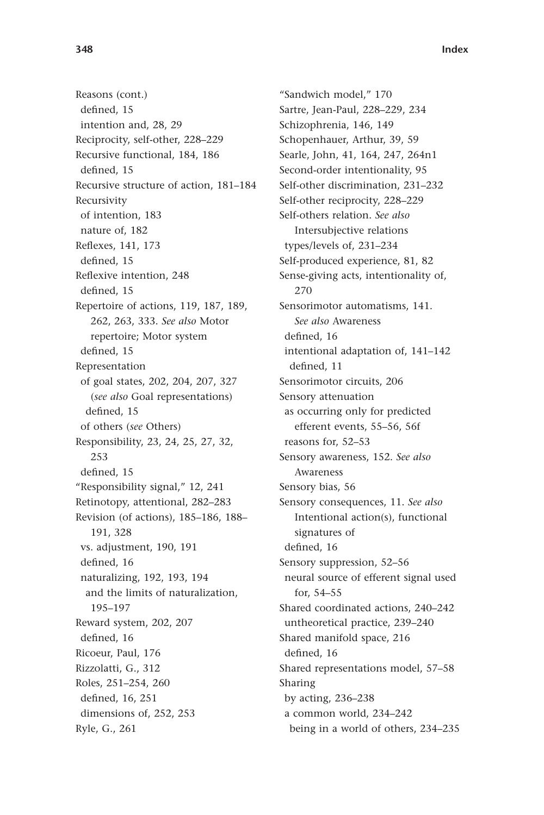Reasons (cont.) defined. 15 intention and, 28, 29 Reciprocity, self-other, 228–229 Recursive functional, 184, 186 defined, 15 Recursive structure of action, 181–184 Recursivity of intention, 183 nature of, 182 Reflexes, 141, 173 defined. 15 Reflexive intention, 248 defined, 15 Repertoire of actions, 119, 187, 189, 262, 263, 333. *See also* Motor repertoire; Motor system defined, 15 Representation of goal states, 202, 204, 207, 327 (*see also* Goal representations) defined, 15 of others (*see* Others) Responsibility, 23, 24, 25, 27, 32, 253 defined, 15 "Responsibility signal," 12, 241 Retinotopy, attentional, 282–283 Revision (of actions), 185–186, 188– 191, 328 vs. adjustment, 190, 191 defined, 16 naturalizing, 192, 193, 194 and the limits of naturalization, 195–197 Reward system, 202, 207 defined, 16 Ricoeur, Paul, 176 Rizzolatti, G., 312 Roles, 251–254, 260 defined, 16, 251 dimensions of, 252, 253 Ryle, G., 261

"Sandwich model," 170 Sartre, Jean-Paul, 228–229, 234 Schizophrenia, 146, 149 Schopenhauer, Arthur, 39, 59 Searle, John, 41, 164, 247, 264n1 Second-order intentionality, 95 Self-other discrimination, 231–232 Self-other reciprocity, 228–229 Self-others relation. *See also* Intersubjective relations types/levels of, 231–234 Self-produced experience, 81, 82 Sense-giving acts, intentionality of, 270 Sensorimotor automatisms, 141. *See also* Awareness defined, 16 intentional adaptation of, 141–142 defined, 11 Sensorimotor circuits, 206 Sensory attenuation as occurring only for predicted efferent events, 55–56, 56f reasons for, 52–53 Sensory awareness, 152. *See also* Awareness Sensory bias, 56 Sensory consequences, 11. *See also* Intentional action(s), functional signatures of defined, 16 Sensory suppression, 52–56 neural source of efferent signal used for, 54–55 Shared coordinated actions, 240–242 untheoretical practice, 239–240 Shared manifold space, 216 defined, 16 Shared representations model, 57–58 Sharing by acting, 236–238 a common world, 234–242 being in a world of others, 234–235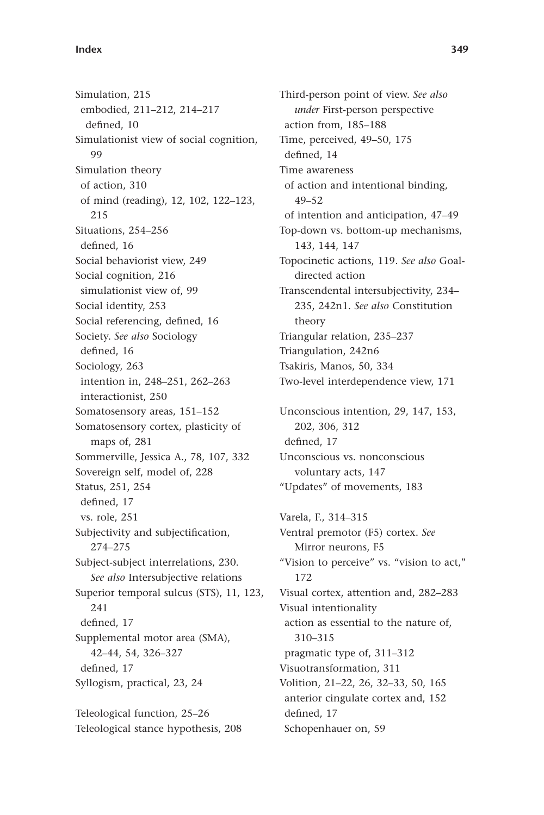Simulation, 215 embodied, 211–212, 214–217 defined. 10 Simulationist view of social cognition, 99 Simulation theory of action, 310 of mind (reading), 12, 102, 122–123, 215 Situations, 254–256 defined, 16 Social behaviorist view, 249 Social cognition, 216 simulationist view of, 99 Social identity, 253 Social referencing, defined, 16 Society. *See also* Sociology defined, 16 Sociology, 263 intention in, 248–251, 262–263 interactionist, 250 Somatosensory areas, 151–152 Somatosensory cortex, plasticity of maps of, 281 Sommerville, Jessica A., 78, 107, 332 Sovereign self, model of, 228 Status, 251, 254 defined, 17 vs. role, 251 Subjectivity and subjectification, 274–275 Subject-subject interrelations, 230. *See also* Intersubjective relations Superior temporal sulcus (STS), 11, 123, 241 defined, 17 Supplemental motor area (SMA), 42–44, 54, 326–327 defined. 17 Syllogism, practical, 23, 24 Teleological function, 25–26

Teleological stance hypothesis, 208

Third-person point of view. *See also under* First-person perspective action from, 185–188 Time, perceived, 49–50, 175 defined, 14 Time awareness of action and intentional binding, 49–52 of intention and anticipation, 47–49 Top-down vs. bottom-up mechanisms, 143, 144, 147 Topocinetic actions, 119. *See also* Goaldirected action Transcendental intersubjectivity, 234– 235, 242n1. *See also* Constitution theory Triangular relation, 235–237 Triangulation, 242n6 Tsakiris, Manos, 50, 334 Two-level interdependence view, 171 Unconscious intention, 29, 147, 153, 202, 306, 312 defined, 17

Unconscious vs. nonconscious voluntary acts, 147 "Updates" of movements, 183

Varela, F., 314–315 Ventral premotor (F5) cortex. *See* Mirror neurons, F5 "Vision to perceive" vs. "vision to act," 172 Visual cortex, attention and, 282–283 Visual intentionality action as essential to the nature of, 310–315 pragmatic type of, 311–312 Visuotransformation, 311 Volition, 21–22, 26, 32–33, 50, 165 anterior cingulate cortex and, 152 defined, 17 Schopenhauer on, 59